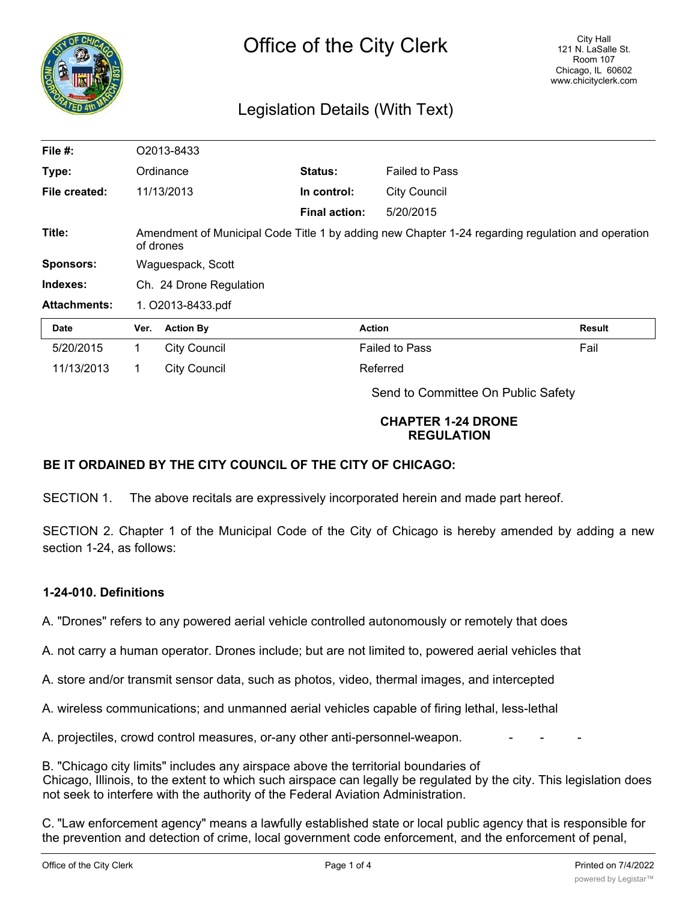

# Legislation Details (With Text)

| File #:             |                                                                                                                | O2013-8433          |                      |                       |               |
|---------------------|----------------------------------------------------------------------------------------------------------------|---------------------|----------------------|-----------------------|---------------|
| Type:               |                                                                                                                | Ordinance           | Status:              | <b>Failed to Pass</b> |               |
| File created:       |                                                                                                                | 11/13/2013          | In control:          | <b>City Council</b>   |               |
|                     |                                                                                                                |                     | <b>Final action:</b> | 5/20/2015             |               |
| Title:              | Amendment of Municipal Code Title 1 by adding new Chapter 1-24 regarding regulation and operation<br>of drones |                     |                      |                       |               |
| <b>Sponsors:</b>    | Waguespack, Scott                                                                                              |                     |                      |                       |               |
| Indexes:            | Ch. 24 Drone Regulation                                                                                        |                     |                      |                       |               |
| <b>Attachments:</b> | 1. O2013-8433.pdf                                                                                              |                     |                      |                       |               |
| <b>Date</b>         | Ver.                                                                                                           | <b>Action By</b>    |                      | <b>Action</b>         | <b>Result</b> |
| 5/20/2015           | 1                                                                                                              | <b>City Council</b> |                      | <b>Failed to Pass</b> | Fail          |
| 11/13/2013          |                                                                                                                | <b>City Council</b> |                      | Referred              |               |

Send to Committee On Public Safety

# **CHAPTER 1-24 DRONE REGULATION**

# **BE IT ORDAINED BY THE CITY COUNCIL OF THE CITY OF CHICAGO:**

SECTION 1. The above recitals are expressively incorporated herein and made part hereof.

SECTION 2. Chapter 1 of the Municipal Code of the City of Chicago is hereby amended by adding a new section 1-24, as follows:

# **1-24-010. Definitions**

A. "Drones" refers to any powered aerial vehicle controlled autonomously or remotely that does

A. not carry a human operator. Drones include; but are not limited to, powered aerial vehicles that

A. store and/or transmit sensor data, such as photos, video, thermal images, and intercepted

A. wireless communications; and unmanned aerial vehicles capable of firing lethal, less-lethal

A. projectiles, crowd control measures, or-any other anti-personnel-weapon.

B. "Chicago city limits" includes any airspace above the territorial boundaries of Chicago, Illinois, to the extent to which such airspace can legally be regulated by the city. This legislation does not seek to interfere with the authority of the Federal Aviation Administration.

C. "Law enforcement agency" means a lawfully established state or local public agency that is responsible for the prevention and detection of crime, local government code enforcement, and the enforcement of penal,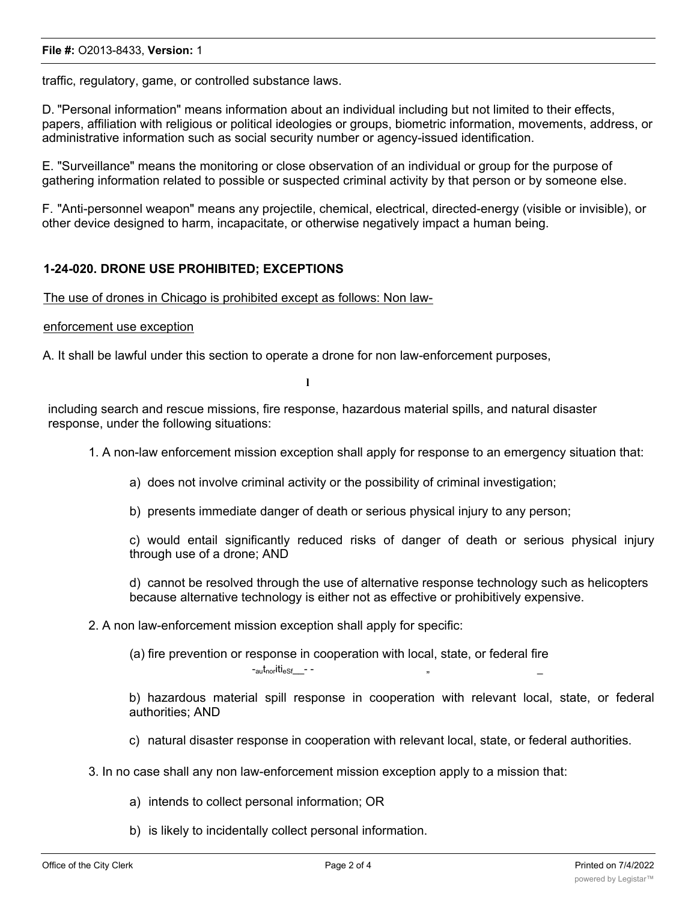#### **File #:** O2013-8433, **Version:** 1

traffic, regulatory, game, or controlled substance laws.

D. "Personal information" means information about an individual including but not limited to their effects, papers, affiliation with religious or political ideologies or groups, biometric information, movements, address, or administrative information such as social security number or agency-issued identification.

E. "Surveillance" means the monitoring or close observation of an individual or group for the purpose of gathering information related to possible or suspected criminal activity by that person or by someone else.

F. "Anti-personnel weapon" means any projectile, chemical, electrical, directed-energy (visible or invisible), or other device designed to harm, incapacitate, or otherwise negatively impact a human being.

## **1-24-020. DRONE USE PROHIBITED; EXCEPTIONS**

The use of drones in Chicago is prohibited except as follows: Non law-

#### enforcement use exception

A. It shall be lawful under this section to operate a drone for non law-enforcement purposes,

**l**

including search and rescue missions, fire response, hazardous material spills, and natural disaster response, under the following situations:

1. A non-law enforcement mission exception shall apply for response to an emergency situation that:

- a) does not involve criminal activity or the possibility of criminal investigation;
- b) presents immediate danger of death or serious physical injury to any person;

c) would entail significantly reduced risks of danger of death or serious physical injury through use of a drone; AND

d) cannot be resolved through the use of alternative response technology such as helicopters because alternative technology is either not as effective or prohibitively expensive.

2. A non law-enforcement mission exception shall apply for specific:

(a) fire prevention or response in cooperation with local, state, or federal fire

 $-$ <sub>au</sub>t<sub>nor</sub>iti<sub>eSf</sub>  $-$  -

b) hazardous material spill response in cooperation with relevant local, state, or federal authorities; AND

c) natural disaster response in cooperation with relevant local, state, or federal authorities.

- 3. In no case shall any non law-enforcement mission exception apply to a mission that:
	- a) intends to collect personal information; OR
	- b) is likely to incidentally collect personal information.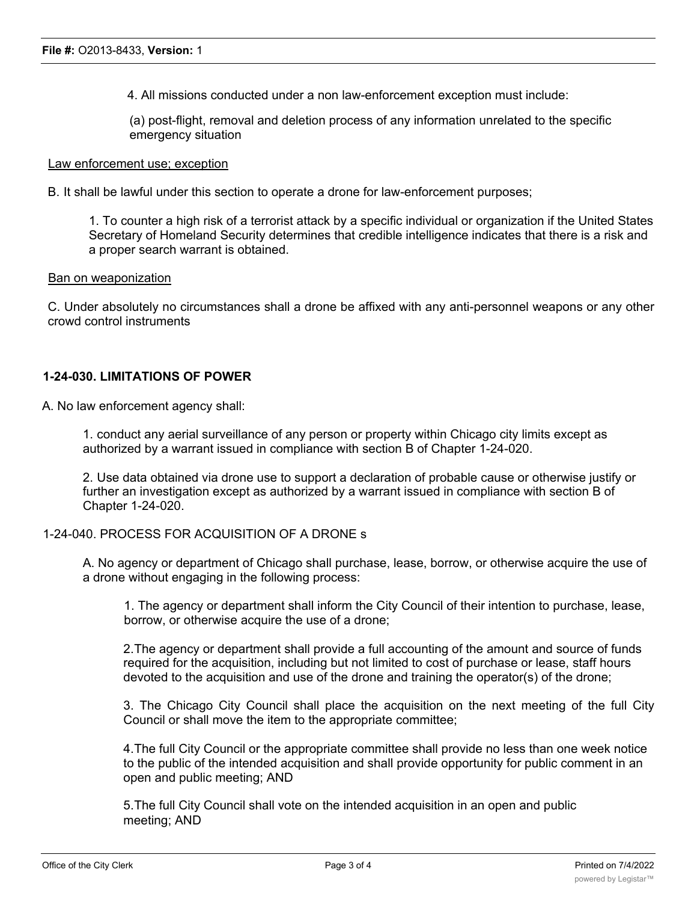4. All missions conducted under a non law-enforcement exception must include:

(a) post-flight, removal and deletion process of any information unrelated to the specific emergency situation

#### Law enforcement use; exception

B. It shall be lawful under this section to operate a drone for law-enforcement purposes;

1. To counter a high risk of a terrorist attack by a specific individual or organization if the United States Secretary of Homeland Security determines that credible intelligence indicates that there is a risk and a proper search warrant is obtained.

#### Ban on weaponization

C. Under absolutely no circumstances shall a drone be affixed with any anti-personnel weapons or any other crowd control instruments

## **1-24-030. LIMITATIONS OF POWER**

A. No law enforcement agency shall:

1. conduct any aerial surveillance of any person or property within Chicago city limits except as authorized by a warrant issued in compliance with section B of Chapter 1-24-020.

2. Use data obtained via drone use to support a declaration of probable cause or otherwise justify or further an investigation except as authorized by a warrant issued in compliance with section B of Chapter 1-24-020.

# 1-24-040. PROCESS FOR ACQUISITION OF A DRONE s

A. No agency or department of Chicago shall purchase, lease, borrow, or otherwise acquire the use of a drone without engaging in the following process:

1. The agency or department shall inform the City Council of their intention to purchase, lease, borrow, or otherwise acquire the use of a drone;

2.The agency or department shall provide a full accounting of the amount and source of funds required for the acquisition, including but not limited to cost of purchase or lease, staff hours devoted to the acquisition and use of the drone and training the operator(s) of the drone;

3. The Chicago City Council shall place the acquisition on the next meeting of the full City Council or shall move the item to the appropriate committee;

4.The full City Council or the appropriate committee shall provide no less than one week notice to the public of the intended acquisition and shall provide opportunity for public comment in an open and public meeting; AND

5.The full City Council shall vote on the intended acquisition in an open and public meeting; AND